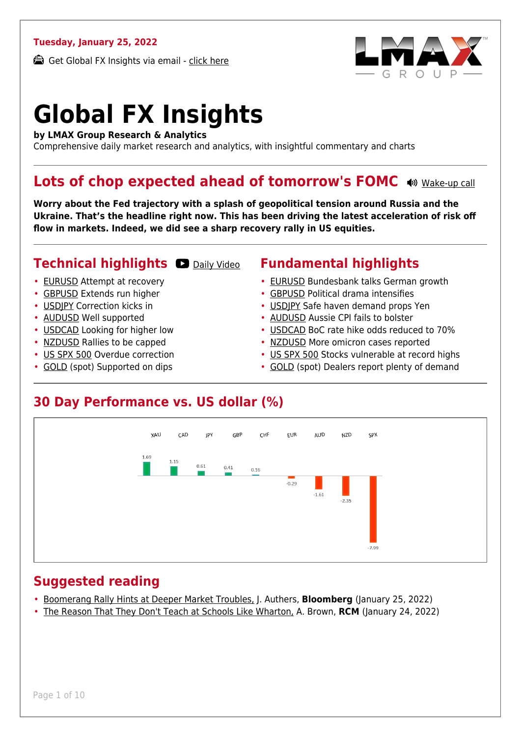#### **Tuesday, January 25, 2022**

Get Global FX Insights via email - [click here](https://www.lmax.com/blog/global-fx-insights/sign-up/?src=gfxipdf)



# **Global FX Insights**

**by LMAX Group Research & Analytics**

Comprehensive daily market research and analytics, with insightful commentary and charts

#### **Lots of chop expected ahead of tomorrow's FOMC**  $\bullet$  **[Wake-up call](https://www.lmax.com/blog/global-fx-insights/2022/01/25/lots-of-chop-expected-ahead-of-tomorrows-fomc/?utm_source=GlobalFXInsights-Newsletter&utm_medium=Email&utm_campaign=GlobalFXInsights&audio=play#wakeup-52392)**

**Worry about the Fed trajectory with a splash of geopolitical tension around Russia and the Ukraine. That's the headline right now. This has been driving the latest acceleration of risk off flow in markets. Indeed, we did see a sharp recovery rally in US equities.**

#### **Technical highlights OD** [Daily Video](https://www.lmax.com/blog/global-fx-insights/2022/01/25/lots-of-chop-expected-ahead-of-tomorrows-fomc/?utm_source=GlobalFXInsights-Newsletter&utm_medium=Email&utm_campaign=GlobalFXInsights&popup=watch#charttalk-52392)

- [EURUSD](#page-1-0) Attempt at recovery
- [GBPUSD](#page-2-0) Extends run higher
- [USDJPY](#page-3-0) Correction kicks in
- [AUDUSD](#page-4-0) Well supported
- [USDCAD](#page-5-0) Looking for higher low
- [NZDUSD](#page-6-0) Rallies to be capped
- [US SPX 500](#page-7-0) Overdue correction
- [GOLD](#page-8-0) (spot) Supported on dips

#### **Fundamental highlights**

- [EURUSD](#page-1-1) Bundesbank talks German growth
- [GBPUSD](#page-2-1) Political drama intensifies
- [USDJPY](#page-3-1) Safe haven demand props Yen
- [AUDUSD](#page-4-1) Aussie CPI fails to bolster
- [USDCAD](#page-5-1) BoC rate hike odds reduced to 70%
- [NZDUSD](#page-6-1) More omicron cases reported
- [US SPX 500](#page-7-1) Stocks vulnerable at record highs
- [GOLD](#page-8-1) (spot) Dealers report plenty of demand

#### **30 Day Performance vs. US dollar (%)**



#### **Suggested reading**

- [Boomerang Rally Hints at Deeper Market Troubles,](https://www.lmax.com/blog/global-fx-insights/2022/01/25/lots-of-chop-expected-ahead-of-tomorrows-fomc/?read=https://www.bloomberg.com/opinion/articles/2022-01-25/stock-market-s-boomerang-rally-hints-at-deeper-troubles?srnd=opinion-markets) J. Authers, **Bloomberg** (January 25, 2022)
- [The Reason That They Don't Teach at Schools Like Wharton,](https://www.lmax.com/blog/global-fx-insights/2022/01/25/lots-of-chop-expected-ahead-of-tomorrows-fomc/?read=https://www.realclearmarkets.com/articles/2022/01/24/the_reason_that_they_dont_teach_at_schools_like_wharton_813251.html) A. Brown, **RCM** (January 24, 2022)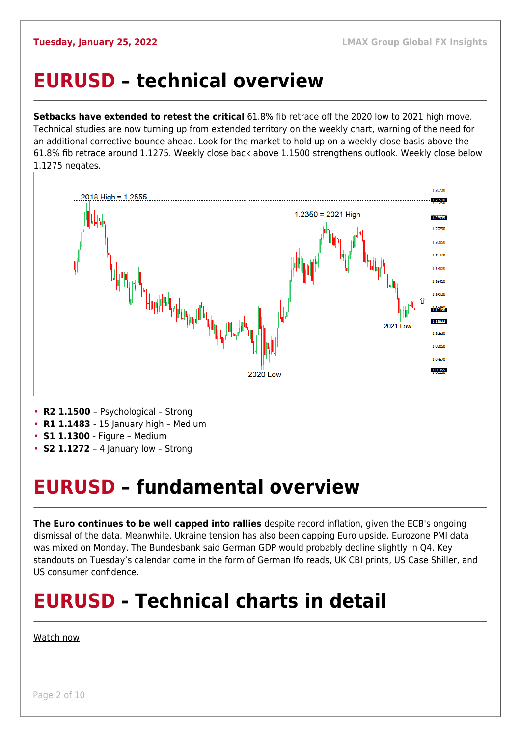### <span id="page-1-0"></span>**EURUSD – technical overview**

**Setbacks have extended to retest the critical** 61.8% fib retrace off the 2020 low to 2021 high move. Technical studies are now turning up from extended territory on the weekly chart, warning of the need for an additional corrective bounce ahead. Look for the market to hold up on a weekly close basis above the 61.8% fib retrace around 1.1275. Weekly close back above 1.1500 strengthens outlook. Weekly close below 1.1275 negates.



- **R1 1.1483**  15 January high Medium
- **S1 1.1300**  Figure Medium
- **S2 1.1272**  4 January low Strong

### <span id="page-1-1"></span>**EURUSD – fundamental overview**

**The Euro continues to be well capped into rallies** despite record inflation, given the ECB's ongoing dismissal of the data. Meanwhile, Ukraine tension has also been capping Euro upside. Eurozone PMI data was mixed on Monday. The Bundesbank said German GDP would probably decline slightly in Q4. Key standouts on Tuesday's calendar come in the form of German Ifo reads, UK CBI prints, US Case Shiller, and US consumer confidence.

## **EURUSD - Technical charts in detail**

#### [Watch now](https://youtu.be/P29foKX1IDw)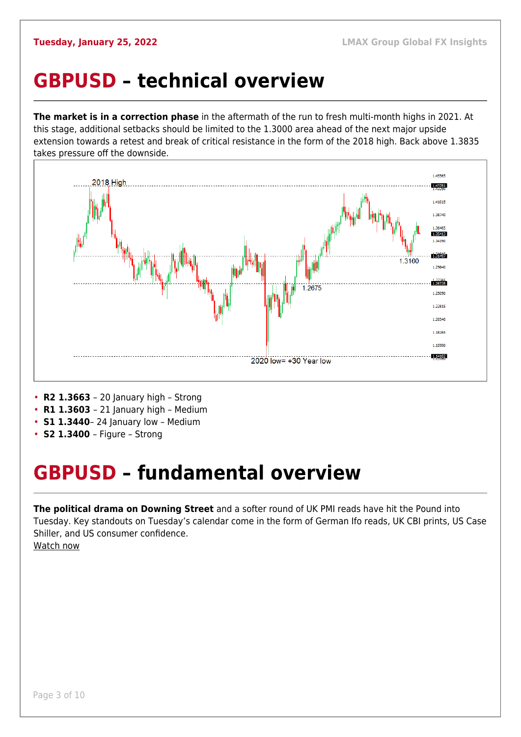### <span id="page-2-0"></span>**GBPUSD – technical overview**

**The market is in a correction phase** in the aftermath of the run to fresh multi-month highs in 2021. At this stage, additional setbacks should be limited to the 1.3000 area ahead of the next major upside extension towards a retest and break of critical resistance in the form of the 2018 high. Back above 1.3835 takes pressure off the downside.



- **R2 1.3663**  20 January high Strong
- **R1 1.3603**  21 January high Medium
- **S1 1.3440** 24 January low Medium
- **S2 1.3400**  Figure Strong

## <span id="page-2-1"></span>**GBPUSD – fundamental overview**

**The political drama on Downing Street** and a softer round of UK PMI reads have hit the Pound into Tuesday. Key standouts on Tuesday's calendar come in the form of German Ifo reads, UK CBI prints, US Case Shiller, and US consumer confidence. [Watch now](https://youtu.be/us4VlHNnfwY)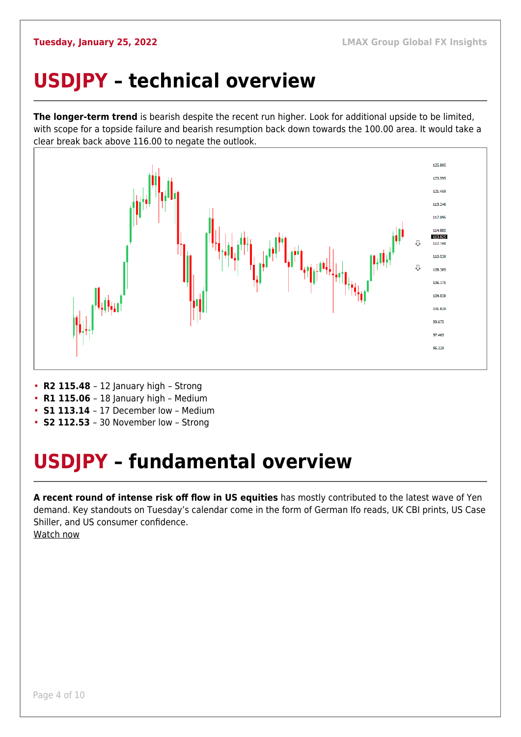## <span id="page-3-0"></span>**USDJPY – technical overview**

**The longer-term trend** is bearish despite the recent run higher. Look for additional upside to be limited, with scope for a topside failure and bearish resumption back down towards the 100.00 area. It would take a clear break back above 116.00 to negate the outlook.



- **R2 115.48**  12 January high Strong
- **R1 115.06** 18 January high Medium
- **S1 113.14**  17 December low Medium
- **S2 112.53**  30 November low Strong

## <span id="page-3-1"></span>**USDJPY – fundamental overview**

**A recent round of intense risk off flow in US equities** has mostly contributed to the latest wave of Yen demand. Key standouts on Tuesday's calendar come in the form of German Ifo reads, UK CBI prints, US Case Shiller, and US consumer confidence. [Watch now](https://youtu.be/mXHJx51NYz4)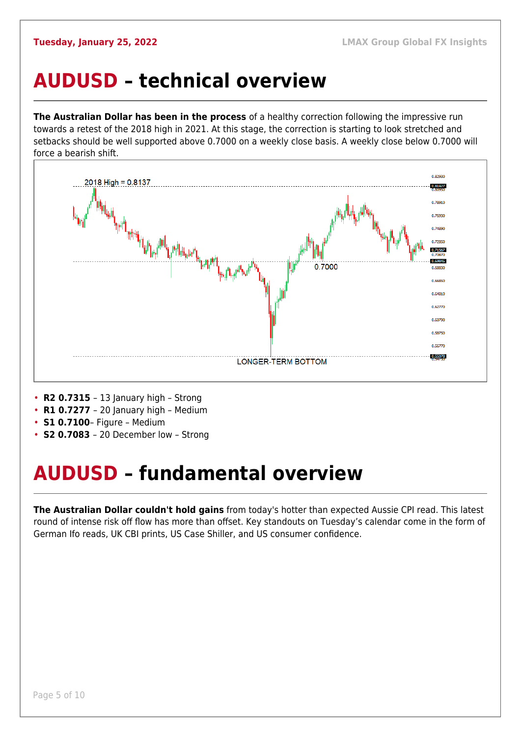### <span id="page-4-0"></span>**AUDUSD – technical overview**

**The Australian Dollar has been in the process** of a healthy correction following the impressive run towards a retest of the 2018 high in 2021. At this stage, the correction is starting to look stretched and setbacks should be well supported above 0.7000 on a weekly close basis. A weekly close below 0.7000 will force a bearish shift.



- **R2 0.7315**  13 January high Strong
- **R1 0.7277**  20 January high Medium
- **S1 0.7100** Figure Medium
- **S2 0.7083**  20 December low Strong

## <span id="page-4-1"></span>**AUDUSD – fundamental overview**

**The Australian Dollar couldn't hold gains** from today's hotter than expected Aussie CPI read. This latest round of intense risk off flow has more than offset. Key standouts on Tuesday's calendar come in the form of German Ifo reads, UK CBI prints, US Case Shiller, and US consumer confidence.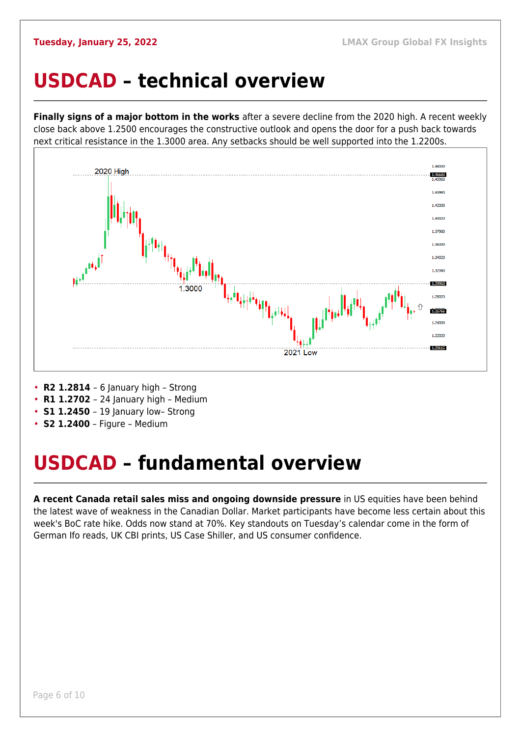#### <span id="page-5-0"></span>**USDCAD – technical overview**

**Finally signs of a major bottom in the works** after a severe decline from the 2020 high. A recent weekly close back above 1.2500 encourages the constructive outlook and opens the door for a push back towards next critical resistance in the 1.3000 area. Any setbacks should be well supported into the 1.2200s.



- **R2 1.2814**  6 January high Strong
- **R1 1.2702**  24 January high Medium
- **S1 1.2450** 19 January low- Strong
- **S2 1.2400** Figure Medium

### <span id="page-5-1"></span>**USDCAD – fundamental overview**

**A recent Canada retail sales miss and ongoing downside pressure** in US equities have been behind the latest wave of weakness in the Canadian Dollar. Market participants have become less certain about this week's BoC rate hike. Odds now stand at 70%. Key standouts on Tuesday's calendar come in the form of German Ifo reads, UK CBI prints, US Case Shiller, and US consumer confidence.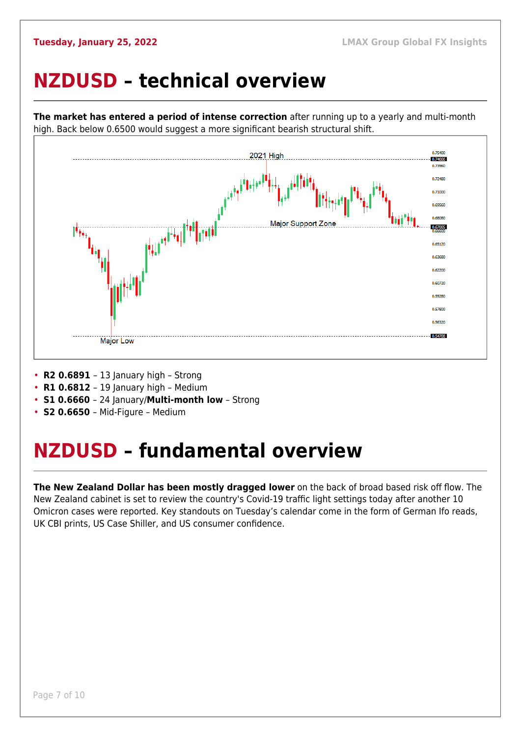### <span id="page-6-0"></span>**NZDUSD – technical overview**



**The market has entered a period of intense correction** after running up to a yearly and multi-month high. Back below 0.6500 would suggest a more significant bearish structural shift.

- **R2 0.6891**  13 January high Strong
- **R1 0.6812**  19 January high Medium
- **S1 0.6660**  24 January/**Multi-month low** Strong
- **S2 0.6650**  Mid-Figure Medium

### <span id="page-6-1"></span>**NZDUSD – fundamental overview**

**The New Zealand Dollar has been mostly dragged lower** on the back of broad based risk off flow. The New Zealand cabinet is set to review the country's Covid-19 traffic light settings today after another 10 Omicron cases were reported. Key standouts on Tuesday's calendar come in the form of German Ifo reads, UK CBI prints, US Case Shiller, and US consumer confidence.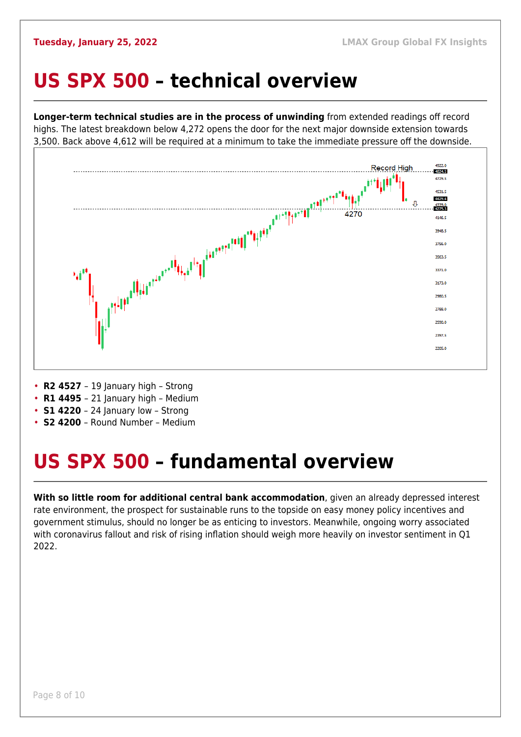#### <span id="page-7-0"></span>**US SPX 500 – technical overview**

**Longer-term technical studies are in the process of unwinding** from extended readings off record highs. The latest breakdown below 4,272 opens the door for the next major downside extension towards 3,500. Back above 4,612 will be required at a minimum to take the immediate pressure off the downside.



- **R2 4527**  19 January high Strong
- **R1 4495**  21 January high Medium
- **S1 4220** 24 January low Strong
- **S2 4200**  Round Number Medium

## <span id="page-7-1"></span>**US SPX 500 – fundamental overview**

**With so little room for additional central bank accommodation**, given an already depressed interest rate environment, the prospect for sustainable runs to the topside on easy money policy incentives and government stimulus, should no longer be as enticing to investors. Meanwhile, ongoing worry associated with coronavirus fallout and risk of rising inflation should weigh more heavily on investor sentiment in Q1 2022.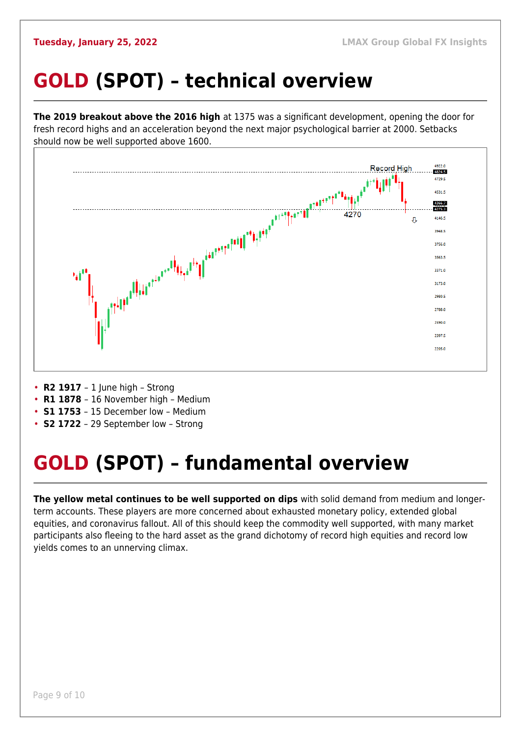## <span id="page-8-0"></span>**GOLD (SPOT) – technical overview**

**The 2019 breakout above the 2016 high** at 1375 was a significant development, opening the door for fresh record highs and an acceleration beyond the next major psychological barrier at 2000. Setbacks should now be well supported above 1600.



- **R2 1917**  1 June high Strong
- **R1 1878**  16 November high Medium
- **S1 1753**  15 December low Medium
- **S2 1722**  29 September low Strong

## <span id="page-8-1"></span>**GOLD (SPOT) – fundamental overview**

**The yellow metal continues to be well supported on dips** with solid demand from medium and longerterm accounts. These players are more concerned about exhausted monetary policy, extended global equities, and coronavirus fallout. All of this should keep the commodity well supported, with many market participants also fleeing to the hard asset as the grand dichotomy of record high equities and record low yields comes to an unnerving climax.